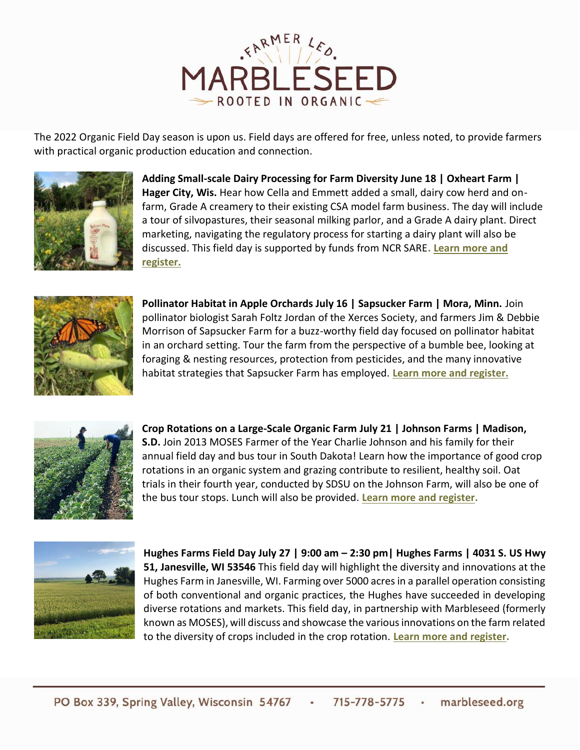

The 2022 Organic Field Day season is upon us. Field days are offered for free, unless noted, to provide farmers with practical organic production education and connection.



**Adding Small-scale Dairy Processing for Farm Diversity June 18 | Oxheart Farm | Hager City, Wis.** Hear how Cella and Emmett added a small, dairy cow herd and onfarm, Grade A creamery to their existing CSA model farm business. The day will include a tour of silvopastures, their seasonal milking parlor, and a Grade A dairy plant. Direct marketing, navigating the regulatory process for starting a dairy plant will also be discussed. This field day is supported by funds from NCR SARE**[. Learn more and](https://marbleseed.salsalabs.org/marbleseed-oxheart_farm)  [register.](https://marbleseed.salsalabs.org/marbleseed-oxheart_farm)**



**Pollinator Habitat in Apple Orchards July 16 | Sapsucker Farm | Mora, Minn.** Join pollinator biologist Sarah Foltz Jordan of the Xerces Society, and farmers Jim & Debbie Morrison of Sapsucker Farm for a buzz-worthy field day focused on pollinator habitat in an orchard setting. Tour the farm from the perspective of a bumble bee, looking at foraging & nesting resources, protection from pesticides, and the many innovative habitat strategies that Sapsucker Farm has employed. **[Learn more and register.](https://docs.google.com/forms/d/e/1FAIpQLSeaAP-n8S5KObDzfNzwpOYPP4vYOkJYiS_q_wqij1Mx3PDdlw/viewform)**



**Crop Rotations on a Large-Scale Organic Farm July 21 | Johnson Farms | Madison, S.D.** Join 2013 MOSES Farmer of the Year Charlie Johnson and his family for their annual field day and bus tour in South Dakota! Learn how the importance of good crop rotations in an organic system and grazing contribute to resilient, healthy soil. Oat trials in their fourth year, conducted by SDSU on the Johnson Farm, will also be one of the bus tour stops. Lunch will also be provided. **[Learn more and register.](https://marbleseed.salsalabs.org/marbleseed-johnson_farm)**



**Hughes Farms Field Day July 27 | 9:00 am – 2:30 pm| Hughes Farms | 4031 S. US Hwy 51, Janesville, WI 53546** This field day will highlight the diversity and innovations at the Hughes Farm in Janesville, WI. Farming over 5000 acres in a parallel operation consisting of both conventional and organic practices, the Hughes have succeeded in developing diverse rotations and markets. This field day, in partnership with Marbleseed (formerly known as MOSES), will discuss and showcase the various innovations on the farm related to the diversity of crops included in the crop rotation. **[Learn more and register.](https://docs.google.com/forms/d/e/1FAIpQLSfizO3v61rPtGqI3u-pdkkFntN12LZJIhTJNorKuH1rbvQCXw/viewform)**